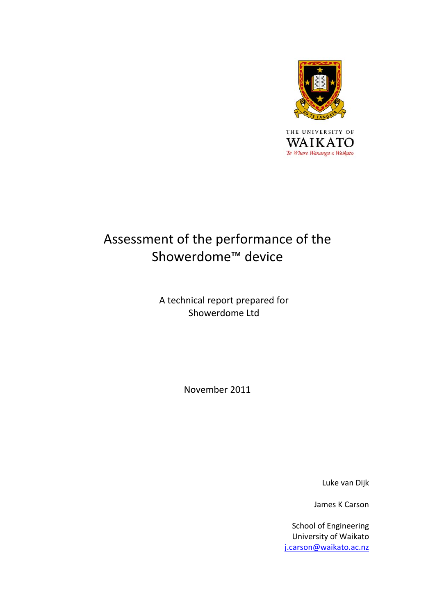

# Assessment of the performance of the Showerdome™ device

A technical report prepared for Showerdome Ltd

November 2011

Luke van Dijk

James K Carson

School of Engineering University of Waikato [j.carson@waikato.ac.nz](mailto:j.carson@waikato.ac.nz)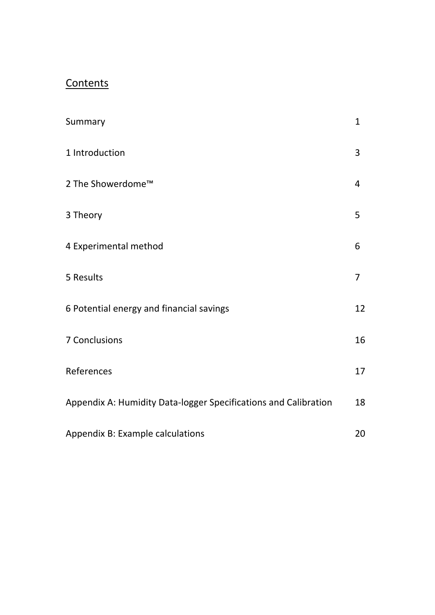# **Contents**

| Summary                                                         | $\mathbf{1}$   |
|-----------------------------------------------------------------|----------------|
| 1 Introduction                                                  | 3              |
| 2 The Showerdome™                                               | 4              |
| 3 Theory                                                        | 5              |
| 4 Experimental method                                           | 6              |
| 5 Results                                                       | $\overline{7}$ |
| 6 Potential energy and financial savings                        | 12             |
| 7 Conclusions                                                   | 16             |
| References                                                      | 17             |
| Appendix A: Humidity Data-logger Specifications and Calibration | 18             |
| Appendix B: Example calculations                                | 20             |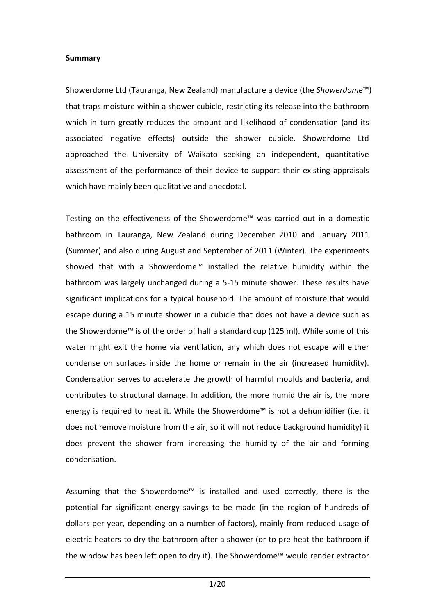#### **Summary**

Showerdome Ltd (Tauranga, New Zealand) manufacture a device (the *Showerdome*™) that traps moisture within a shower cubicle, restricting its release into the bathroom which in turn greatly reduces the amount and likelihood of condensation (and its associated negative effects) outside the shower cubicle. Showerdome Ltd approached the University of Waikato seeking an independent, quantitative assessment of the performance of their device to support their existing appraisals which have mainly been qualitative and anecdotal.

Testing on the effectiveness of the Showerdome™ was carried out in a domestic bathroom in Tauranga, New Zealand during December 2010 and January 2011 (Summer) and also during August and September of 2011 (Winter). The experiments showed that with a Showerdome™ installed the relative humidity within the bathroom was largely unchanged during a 5‐15 minute shower. These results have significant implications for a typical household. The amount of moisture that would escape during a 15 minute shower in a cubicle that does not have a device such as the Showerdome™ is of the order of half a standard cup (125 ml). While some of this water might exit the home via ventilation, any which does not escape will either condense on surfaces inside the home or remain in the air (increased humidity). Condensation serves to accelerate the growth of harmful moulds and bacteria, and contributes to structural damage. In addition, the more humid the air is, the more energy is required to heat it. While the Showerdome™ is not a dehumidifier (i.e. it does not remove moisture from the air, so it will not reduce background humidity) it does prevent the shower from increasing the humidity of the air and forming condensation.

Assuming that the Showerdome™ is installed and used correctly, there is the potential for significant energy savings to be made (in the region of hundreds of dollars per year, depending on a number of factors), mainly from reduced usage of electric heaters to dry the bathroom after a shower (or to pre‐heat the bathroom if the window has been left open to dry it). The Showerdome™ would render extractor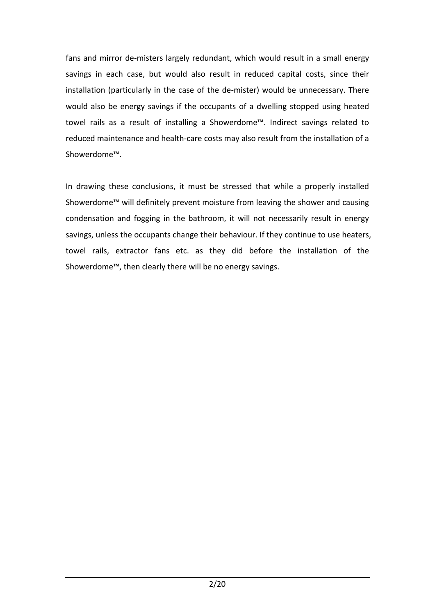fans and mirror de-misters largely redundant, which would result in a small energy savings in each case, but would also result in reduced capital costs, since their installation (particularly in the case of the de-mister) would be unnecessary. There would also be energy savings if the occupants of a dwelling stopped using heated towel rails as a result of installing a Showerdome™. Indirect savings related to reduced maintenance and health‐care costs may also result from the installation of a Showerdome™.

In drawing these conclusions, it must be stressed that while a properly installed Showerdome™ will definitely prevent moisture from leaving the shower and causing condensation and fogging in the bathroom, it will not necessarily result in energy savings, unless the occupants change their behaviour. If they continue to use heaters, towel rails, extractor fans etc. as they did before the installation of the Showerdome™, then clearly there will be no energy savings.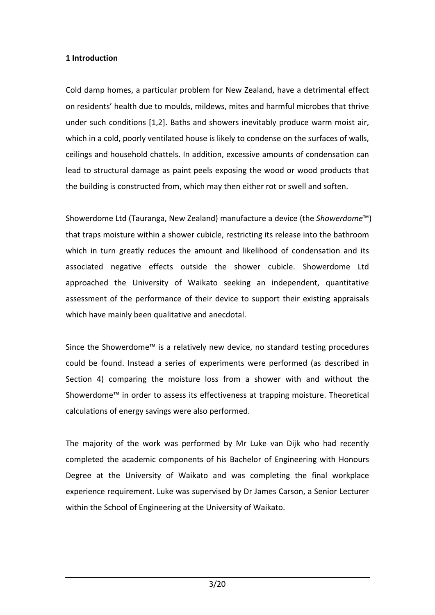# **1 Introduction**

Cold damp homes, a particular problem for New Zealand, have a detrimental effect on residents' health due to moulds, mildews, mites and harmful microbes that thrive under such conditions [1,2]. Baths and showers inevitably produce warm moist air, which in a cold, poorly ventilated house is likely to condense on the surfaces of walls, ceilings and household chattels. In addition, excessive amounts of condensation can lead to structural damage as paint peels exposing the wood or wood products that the building is constructed from, which may then either rot or swell and soften.

Showerdome Ltd (Tauranga, New Zealand) manufacture a device (the *Showerdome*™) that traps moisture within a shower cubicle, restricting its release into the bathroom which in turn greatly reduces the amount and likelihood of condensation and its associated negative effects outside the shower cubicle. Showerdome Ltd approached the University of Waikato seeking an independent, quantitative assessment of the performance of their device to support their existing appraisals which have mainly been qualitative and anecdotal.

Since the Showerdome™ is a relatively new device, no standard testing procedures could be found. Instead a series of experiments were performed (as described in Section 4) comparing the moisture loss from a shower with and without the Showerdome™ in order to assess its effectiveness at trapping moisture. Theoretical calculations of energy savings were also performed.

The majority of the work was performed by Mr Luke van Dijk who had recently completed the academic components of his Bachelor of Engineering with Honours Degree at the University of Waikato and was completing the final workplace experience requirement. Luke was supervised by Dr James Carson, a Senior Lecturer within the School of Engineering at the University of Waikato.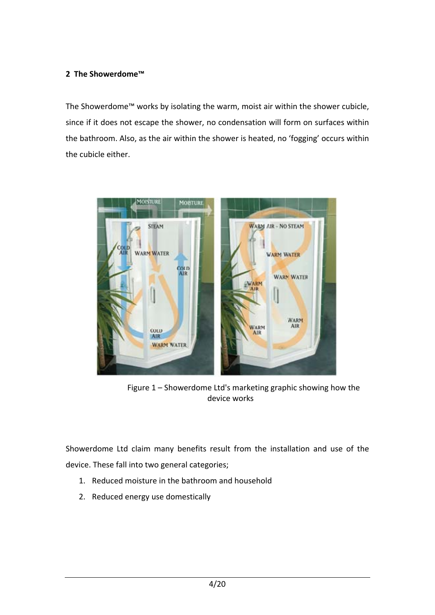# **2 The Showerdome™**

The Showerdome™ works by isolating the warm, moist air within the shower cubicle, since if it does not escape the shower, no condensation will form on surfaces within the bathroom. Also, as the air within the shower is heated, no 'fogging' occurs within the cubicle either.



Figure 1 – Showerdome Ltd's marketing graphic showing how the device works

Showerdome Ltd claim many benefits result from the installation and use of the device. These fall into two general categories;

- 1. Reduced moisture in the bathroom and household
- 2. Reduced energy use domestically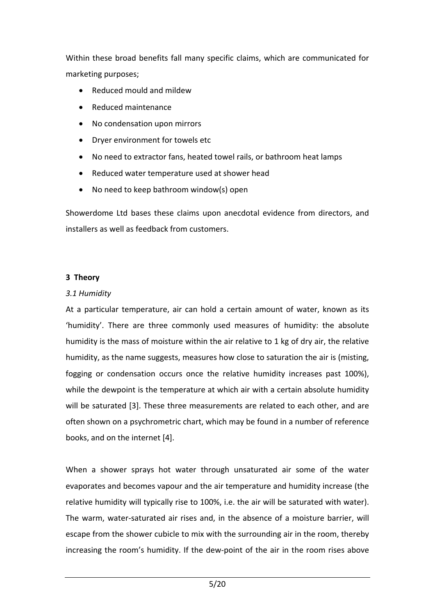Within these broad benefits fall many specific claims, which are communicated for marketing purposes;

- Reduced mould and mildew
- Reduced maintenance
- No condensation upon mirrors
- Dryer environment for towels etc
- No need to extractor fans, heated towel rails, or bathroom heat lamps
- Reduced water temperature used at shower head
- No need to keep bathroom window(s) open

Showerdome Ltd bases these claims upon anecdotal evidence from directors, and installers as well as feedback from customers.

# **3 Theory**

#### *3.1 Humidity*

At a particular temperature, air can hold a certain amount of water, known as its 'humidity'. There are three commonly used measures of humidity: the absolute humidity is the mass of moisture within the air relative to 1 kg of dry air, the relative humidity, as the name suggests, measures how close to saturation the air is (misting, fogging or condensation occurs once the relative humidity increases past 100%), while the dewpoint is the temperature at which air with a certain absolute humidity will be saturated [3]. These three measurements are related to each other, and are often shown on a psychrometric chart, which may be found in a number of reference books, and on the internet [4].

When a shower sprays hot water through unsaturated air some of the water evaporates and becomes vapour and the air temperature and humidity increase (the relative humidity will typically rise to 100%, i.e. the air will be saturated with water). The warm, water‐saturated air rises and, in the absence of a moisture barrier, will escape from the shower cubicle to mix with the surrounding air in the room, thereby increasing the room's humidity. If the dew‐point of the air in the room rises above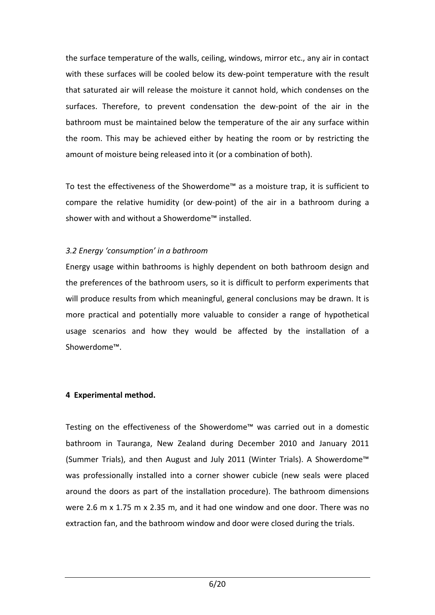the surface temperature of the walls, ceiling, windows, mirror etc., any air in contact with these surfaces will be cooled below its dew-point temperature with the result that saturated air will release the moisture it cannot hold, which condenses on the surfaces. Therefore, to prevent condensation the dew‐point of the air in the bathroom must be maintained below the temperature of the air any surface within the room. This may be achieved either by heating the room or by restricting the amount of moisture being released into it (or a combination of both).

To test the effectiveness of the Showerdome™ as a moisture trap, it is sufficient to compare the relative humidity (or dew‐point) of the air in a bathroom during a shower with and without a Showerdome™ installed.

#### *3.2 Energy 'consumption' in a bathroom*

Energy usage within bathrooms is highly dependent on both bathroom design and the preferences of the bathroom users, so it is difficult to perform experiments that will produce results from which meaningful, general conclusions may be drawn. It is more practical and potentially more valuable to consider a range of hypothetical usage scenarios and how they would be affected by the installation of a Showerdome™.

# **4 Experimental method.**

Testing on the effectiveness of the Showerdome™ was carried out in a domestic bathroom in Tauranga, New Zealand during December 2010 and January 2011 (Summer Trials), and then August and July 2011 (Winter Trials). A Showerdome™ was professionally installed into a corner shower cubicle (new seals were placed around the doors as part of the installation procedure). The bathroom dimensions were 2.6 m x 1.75 m x 2.35 m, and it had one window and one door. There was no extraction fan, and the bathroom window and door were closed during the trials.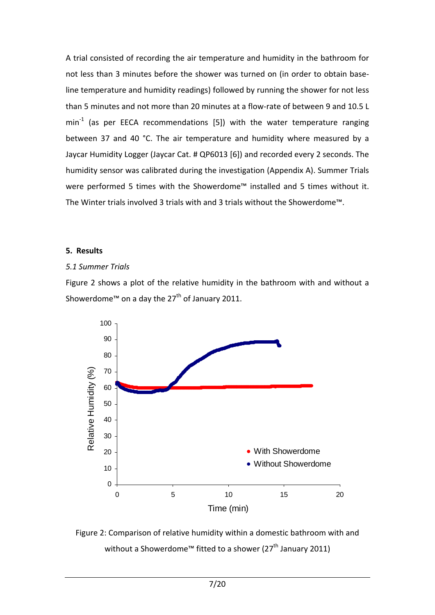A trial consisted of recording the air temperature and humidity in the bathroom for not less than 3 minutes before the shower was turned on (in order to obtain base‐ line temperature and humidity readings) followed by running the shower for not less than 5 minutes and not more than 20 minutes at a flow-rate of between 9 and 10.5 L  $min<sup>-1</sup>$  (as per EECA recommendations [5]) with the water temperature ranging between 37 and 40 °C. The air temperature and humidity where measured by a Jaycar Humidity Logger (Jaycar Cat. # QP6013 [6]) and recorded every 2 seconds. The humidity sensor was calibrated during the investigation (Appendix A). Summer Trials were performed 5 times with the Showerdome™ installed and 5 times without it. The Winter trials involved 3 trials with and 3 trials without the Showerdome™.

#### **5. Results**

# *5.1 Summer Trials*

Figure 2 shows a plot of the relative humidity in the bathroom with and without a Showerdome™ on a day the 27<sup>th</sup> of January 2011.



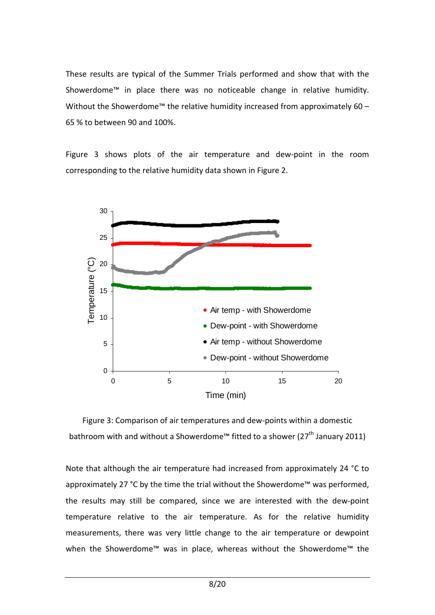These results are typical of the Summer Trials performed and show that with the Showerdome™ in place there was no noticeable change in relative humidity. Without the Showerdome<sup>™</sup> the relative humidity increased from approximately 60 – 65 % to between 90 and 100%.

Figure 3 shows plots of the air temperature and dew-point in the room corresponding to the relative humidity data shown in Figure 2.



Figure 3: Comparison of air temperatures and dew‐points within a domestic bathroom with and without a Showerdome<sup>™</sup> fitted to a shower (27<sup>th</sup> January 2011)

Note that although the air temperature had increased from approximately 24 °C to approximately 27 °C by the time the trial without the Showerdome™ was performed, the results may still be compared, since we are interested with the dew‐point temperature relative to the air temperature. As for the relative humidity measurements, there was very little change to the air temperature or dewpoint when the Showerdome™ was in place, whereas without the Showerdome™ the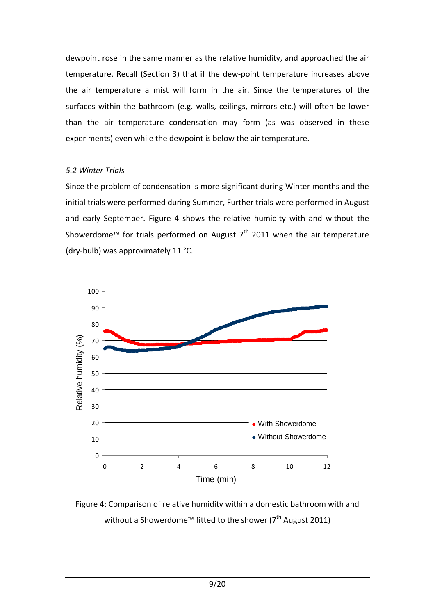dewpoint rose in the same manner as the relative humidity, and approached the air temperature. Recall (Section 3) that if the dew‐point temperature increases above the air temperature a mist will form in the air. Since the temperatures of the surfaces within the bathroom (e.g. walls, ceilings, mirrors etc.) will often be lower than the air temperature condensation may form (as was observed in these experiments) even while the dewpoint is below the air temperature.

#### *5.2 Winter Trials*

Since the problem of condensation is more significant during Winter months and the initial trials were performed during Summer, Further trials were performed in August and early September. Figure 4 shows the relative humidity with and without the Showerdome™ for trials performed on August  $7<sup>th</sup>$  2011 when the air temperature (dry‐bulb) was approximately 11 °C.



Figure 4: Comparison of relative humidity within a domestic bathroom with and without a Showerdome™ fitted to the shower ( $7<sup>th</sup>$  August 2011)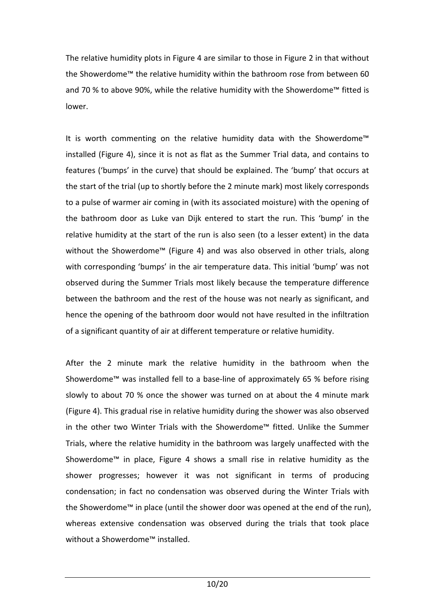The relative humidity plots in Figure 4 are similar to those in Figure 2 in that without the Showerdome™ the relative humidity within the bathroom rose from between 60 and 70 % to above 90%, while the relative humidity with the Showerdome™ fitted is lower.

It is worth commenting on the relative humidity data with the Showerdome™ installed (Figure 4), since it is not as flat as the Summer Trial data, and contains to features ('bumps' in the curve) that should be explained. The 'bump' that occurs at the start of the trial (up to shortly before the 2 minute mark) most likely corresponds to a pulse of warmer air coming in (with its associated moisture) with the opening of the bathroom door as Luke van Dijk entered to start the run. This 'bump' in the relative humidity at the start of the run is also seen (to a lesser extent) in the data without the Showerdome™ (Figure 4) and was also observed in other trials, along with corresponding 'bumps' in the air temperature data. This initial 'bump' was not observed during the Summer Trials most likely because the temperature difference between the bathroom and the rest of the house was not nearly as significant, and hence the opening of the bathroom door would not have resulted in the infiltration of a significant quantity of air at different temperature or relative humidity.

After the 2 minute mark the relative humidity in the bathroom when the Showerdome™ was installed fell to a base‐line of approximately 65 % before rising slowly to about 70 % once the shower was turned on at about the 4 minute mark (Figure 4). This gradual rise in relative humidity during the shower was also observed in the other two Winter Trials with the Showerdome™ fitted. Unlike the Summer Trials, where the relative humidity in the bathroom was largely unaffected with the Showerdome™ in place, Figure 4 shows a small rise in relative humidity as the shower progresses; however it was not significant in terms of producing condensation; in fact no condensation was observed during the Winter Trials with the Showerdome™ in place (until the shower door was opened at the end of the run), whereas extensive condensation was observed during the trials that took place without a Showerdome™ installed.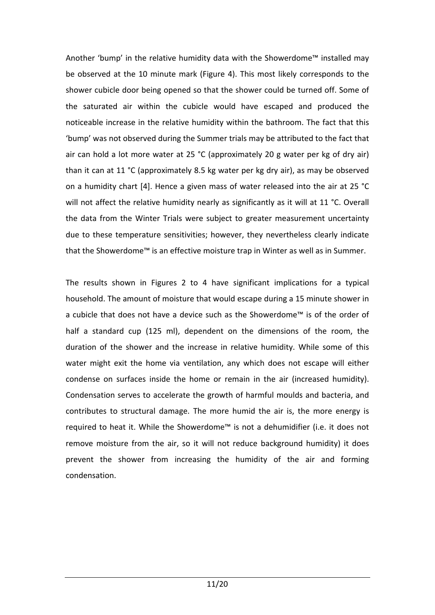Another 'bump' in the relative humidity data with the Showerdome™ installed may be observed at the 10 minute mark (Figure 4). This most likely corresponds to the shower cubicle door being opened so that the shower could be turned off. Some of the saturated air within the cubicle would have escaped and produced the noticeable increase in the relative humidity within the bathroom. The fact that this 'bump' was not observed during the Summer trials may be attributed to the fact that air can hold a lot more water at 25 °C (approximately 20 g water per kg of dry air) than it can at 11 °C (approximately 8.5 kg water per kg dry air), as may be observed on a humidity chart [4]. Hence a given mass of water released into the air at 25 °C will not affect the relative humidity nearly as significantly as it will at 11 °C. Overall the data from the Winter Trials were subject to greater measurement uncertainty due to these temperature sensitivities; however, they nevertheless clearly indicate that the Showerdome™ is an effective moisture trap in Winter as well as in Summer.

The results shown in Figures 2 to 4 have significant implications for a typical household. The amount of moisture that would escape during a 15 minute shower in a cubicle that does not have a device such as the Showerdome™ is of the order of half a standard cup (125 ml), dependent on the dimensions of the room, the duration of the shower and the increase in relative humidity. While some of this water might exit the home via ventilation, any which does not escape will either condense on surfaces inside the home or remain in the air (increased humidity). Condensation serves to accelerate the growth of harmful moulds and bacteria, and contributes to structural damage. The more humid the air is, the more energy is required to heat it. While the Showerdome™ is not a dehumidifier (i.e. it does not remove moisture from the air, so it will not reduce background humidity) it does prevent the shower from increasing the humidity of the air and forming condensation.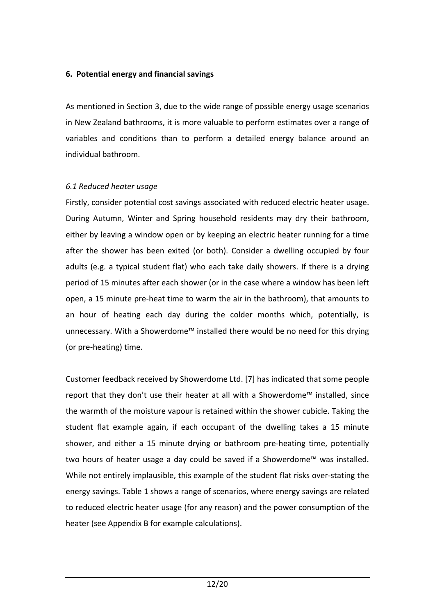#### **6. Potential energy and financial savings**

As mentioned in Section 3, due to the wide range of possible energy usage scenarios in New Zealand bathrooms, it is more valuable to perform estimates over a range of variables and conditions than to perform a detailed energy balance around an individual bathroom.

#### *6.1 Reduced heater usage*

Firstly, consider potential cost savings associated with reduced electric heater usage. During Autumn, Winter and Spring household residents may dry their bathroom, either by leaving a window open or by keeping an electric heater running for a time after the shower has been exited (or both). Consider a dwelling occupied by four adults (e.g. a typical student flat) who each take daily showers. If there is a drying period of 15 minutes after each shower (or in the case where a window has been left open, a 15 minute pre‐heat time to warm the air in the bathroom), that amounts to an hour of heating each day during the colder months which, potentially, is unnecessary. With a Showerdome™ installed there would be no need for this drying (or pre‐heating) time.

Customer feedback received by Showerdome Ltd. [7] has indicated that some people report that they don't use their heater at all with a Showerdome™ installed, since the warmth of the moisture vapour is retained within the shower cubicle. Taking the student flat example again, if each occupant of the dwelling takes a 15 minute shower, and either a 15 minute drying or bathroom pre-heating time, potentially two hours of heater usage a day could be saved if a Showerdome™ was installed. While not entirely implausible, this example of the student flat risks over-stating the energy savings. Table 1 shows a range of scenarios, where energy savings are related to reduced electric heater usage (for any reason) and the power consumption of the heater (see Appendix B for example calculations).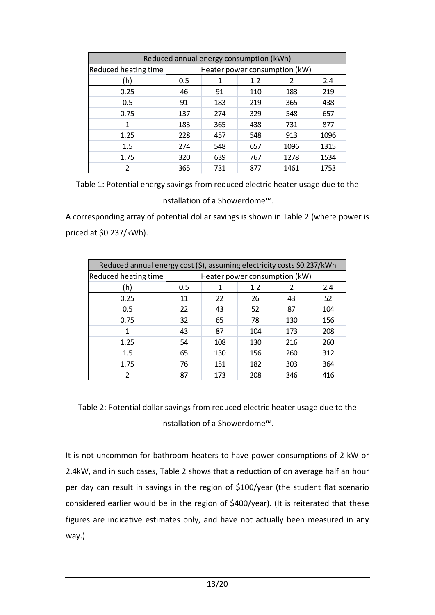| Reduced annual energy consumption (kWh) |                               |     |     |      |      |
|-----------------------------------------|-------------------------------|-----|-----|------|------|
| <b>Reduced heating time</b>             | Heater power consumption (kW) |     |     |      |      |
| (h)                                     | 0.5                           | 1   | 1.2 |      | 2.4  |
| 0.25                                    | 46                            | 91  | 110 | 183  | 219  |
| 0.5                                     | 91                            | 183 | 219 | 365  | 438  |
| 0.75                                    | 137                           | 274 | 329 | 548  | 657  |
| 1                                       | 183                           | 365 | 438 | 731  | 877  |
| 1.25                                    | 228                           | 457 | 548 | 913  | 1096 |
| 1.5                                     | 274                           | 548 | 657 | 1096 | 1315 |
| 1.75                                    | 320                           | 639 | 767 | 1278 | 1534 |
| 2                                       | 365                           | 731 | 877 | 1461 | 1753 |

Table 1: Potential energy savings from reduced electric heater usage due to the installation of a Showerdome™.

A corresponding array of potential dollar savings is shown in Table 2 (where power is priced at \$0.237/kWh).

| Reduced annual energy cost (\$), assuming electricity costs \$0.237/kWh |                               |     |     |     |     |
|-------------------------------------------------------------------------|-------------------------------|-----|-----|-----|-----|
| Reduced heating time                                                    | Heater power consumption (kW) |     |     |     |     |
| (h)                                                                     | 0.5                           | 1   | 1.2 |     | 2.4 |
| 0.25                                                                    | 11                            | 22  | 26  | 43  | 52  |
| 0.5                                                                     | 22                            | 43  | 52  | 87  | 104 |
| 0.75                                                                    | 32                            | 65  | 78  | 130 | 156 |
| 1                                                                       | 43                            | 87  | 104 | 173 | 208 |
| 1.25                                                                    | 54                            | 108 | 130 | 216 | 260 |
| 1.5                                                                     | 65                            | 130 | 156 | 260 | 312 |
| 1.75                                                                    | 76                            | 151 | 182 | 303 | 364 |
| $\mathfrak z$                                                           | 87                            | 173 | 208 | 346 | 416 |

Table 2: Potential dollar savings from reduced electric heater usage due to the installation of a Showerdome™.

It is not uncommon for bathroom heaters to have power consumptions of 2 kW or 2.4kW, and in such cases, Table 2 shows that a reduction of on average half an hour per day can result in savings in the region of \$100/year (the student flat scenario considered earlier would be in the region of \$400/year). (It is reiterated that these figures are indicative estimates only, and have not actually been measured in any way.)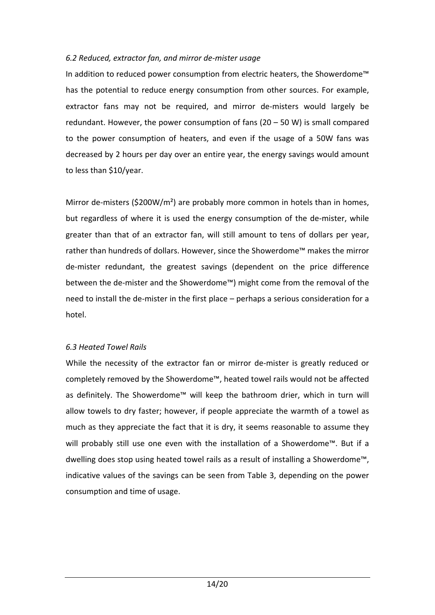# *6.2 Reduced, extractor fan, and mirror de‐mister usage*

In addition to reduced power consumption from electric heaters, the Showerdome™ has the potential to reduce energy consumption from other sources. For example, extractor fans may not be required, and mirror de-misters would largely be redundant. However, the power consumption of fans (20 – 50 W) is small compared to the power consumption of heaters, and even if the usage of a 50W fans was decreased by 2 hours per day over an entire year, the energy savings would amount to less than \$10/year.

Mirror de-misters (\$200W/m<sup>2</sup>) are probably more common in hotels than in homes, but regardless of where it is used the energy consumption of the de-mister, while greater than that of an extractor fan, will still amount to tens of dollars per year, rather than hundreds of dollars. However, since the Showerdome™ makes the mirror de‐mister redundant, the greatest savings (dependent on the price difference between the de‐mister and the Showerdome™) might come from the removal of the need to install the de-mister in the first place – perhaps a serious consideration for a hotel.

#### *6.3 Heated Towel Rails*

While the necessity of the extractor fan or mirror de-mister is greatly reduced or completely removed by the Showerdome™, heated towel rails would not be affected as definitely. The Showerdome™ will keep the bathroom drier, which in turn will allow towels to dry faster; however, if people appreciate the warmth of a towel as much as they appreciate the fact that it is dry, it seems reasonable to assume they will probably still use one even with the installation of a Showerdome™. But if a dwelling does stop using heated towel rails as a result of installing a Showerdome™, indicative values of the savings can be seen from Table 3, depending on the power consumption and time of usage.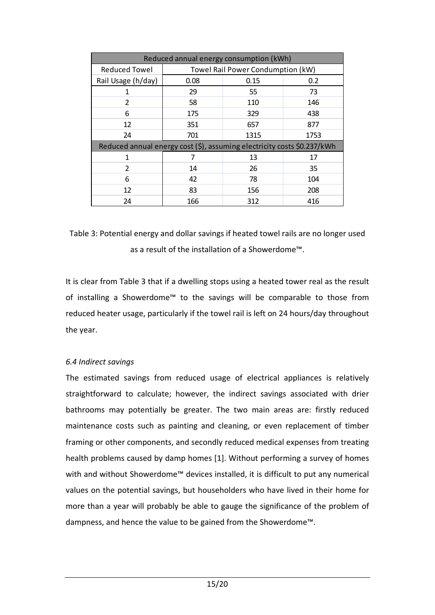| Reduced annual energy consumption (kWh)                                 |                                   |      |      |  |  |
|-------------------------------------------------------------------------|-----------------------------------|------|------|--|--|
| <b>Reduced Towel</b>                                                    | Towel Rail Power Condumption (kW) |      |      |  |  |
| Rail Usage (h/day)                                                      | 0.08                              | 0.15 | 0.2  |  |  |
| 1                                                                       | 29                                | 55   | 73   |  |  |
| 2                                                                       | 58                                | 110  | 146  |  |  |
| 6                                                                       | 175                               | 329  | 438  |  |  |
| 12                                                                      | 351                               | 657  | 877  |  |  |
| 24                                                                      | 701                               | 1315 | 1753 |  |  |
| Reduced annual energy cost (\$), assuming electricity costs \$0.237/kWh |                                   |      |      |  |  |
| 1                                                                       | 7                                 | 13   | 17   |  |  |
| 2                                                                       | 14                                | 26   | 35   |  |  |
| 6                                                                       | 42                                | 78   | 104  |  |  |
| 12                                                                      | 83                                | 156  | 208  |  |  |
| 24                                                                      | 166                               | 312  | 416  |  |  |

# Table 3: Potential energy and dollar savings if heated towel rails are no longer used as a result of the installation of a Showerdome™.

It is clear from Table 3 that if a dwelling stops using a heated tower real as the result of installing a Showerdome™ to the savings will be comparable to those from reduced heater usage, particularly if the towel rail is left on 24 hours/day throughout the year.

# *6.4 Indirect savings*

The estimated savings from reduced usage of electrical appliances is relatively straightforward to calculate; however, the indirect savings associated with drier bathrooms may potentially be greater. The two main areas are: firstly reduced maintenance costs such as painting and cleaning, or even replacement of timber framing or other components, and secondly reduced medical expenses from treating health problems caused by damp homes [1]. Without performing a survey of homes with and without Showerdome™ devices installed, it is difficult to put any numerical values on the potential savings, but householders who have lived in their home for more than a year will probably be able to gauge the significance of the problem of dampness, and hence the value to be gained from the Showerdome™.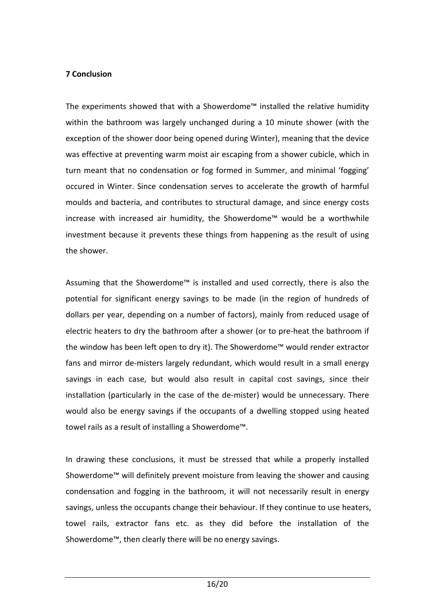#### **7 Conclusion**

The experiments showed that with a Showerdome™ installed the relative humidity within the bathroom was largely unchanged during a 10 minute shower (with the exception of the shower door being opened during Winter), meaning that the device was effective at preventing warm moist air escaping from a shower cubicle, which in turn meant that no condensation or fog formed in Summer, and minimal 'fogging' occured in Winter. Since condensation serves to accelerate the growth of harmful moulds and bacteria, and contributes to structural damage, and since energy costs increase with increased air humidity, the Showerdome™ would be a worthwhile investment because it prevents these things from happening as the result of using the shower.

Assuming that the Showerdome™ is installed and used correctly, there is also the potential for significant energy savings to be made (in the region of hundreds of dollars per year, depending on a number of factors), mainly from reduced usage of electric heaters to dry the bathroom after a shower (or to pre‐heat the bathroom if the window has been left open to dry it). The Showerdome™ would render extractor fans and mirror de-misters largely redundant, which would result in a small energy savings in each case, but would also result in capital cost savings, since their installation (particularly in the case of the de-mister) would be unnecessary. There would also be energy savings if the occupants of a dwelling stopped using heated towel rails as a result of installing a Showerdome™.

In drawing these conclusions, it must be stressed that while a properly installed Showerdome™ will definitely prevent moisture from leaving the shower and causing condensation and fogging in the bathroom, it will not necessarily result in energy savings, unless the occupants change their behaviour. If they continue to use heaters, towel rails, extractor fans etc. as they did before the installation of the Showerdome™, then clearly there will be no energy savings.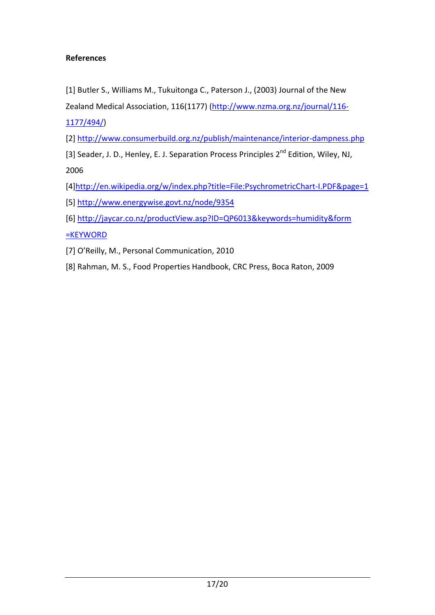# **References**

[1] Butler S., Williams M., Tukuitonga C., Paterson J., (2003) Journal of the New

Zealand Medical Association, 116(1177) [\(http://www.nzma.org.nz/journal/116](http://www.nzma.org.nz/journal/116-1177/494/)‐ [1177/494/\)](http://www.nzma.org.nz/journal/116-1177/494/)

[2] [http://www.consumerbuild.org.nz/publish/maintenance/interior](http://www.consumerbuild.org.nz/publish/maintenance/interior-dampness.php)‐dampness.php

[3] Seader, J. D., Henley, E. J. Separation Process Principles 2<sup>nd</sup> Edition, Wiley, NJ, 2006

[4[\]http://en.wikipedia.org/w/index.php?title=File:PsychrometricChart](http://en.wikipedia.org/w/index.php?title=File:PsychrometricChart-I.PDF&page=1)‐I.PDF&page=1

[5] <http://www.energywise.govt.nz/node/9354>

[6] [http://jaycar.co.nz/productView.asp?ID=QP6013&keywords=humidity&form](http://jaycar.co.nz/productView.asp?ID=QP6013&keywords=humidity&form%20=KEYWORD)

[=KEYWORD](http://jaycar.co.nz/productView.asp?ID=QP6013&keywords=humidity&form%20=KEYWORD)

[7] O'Reilly, M., Personal Communication, 2010

[8] Rahman, M. S., Food Properties Handbook, CRC Press, Boca Raton, 2009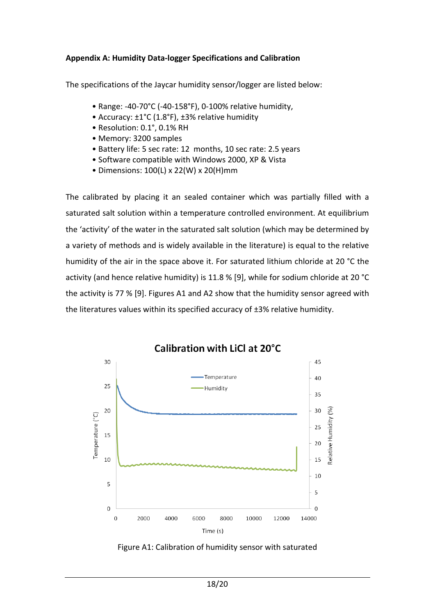#### **Appendix A: Humidity Data‐logger Specifications and Calibration**

The specifications of the Jaycar humidity sensor/logger are listed below:

- Range: ‐40‐70°C (‐40‐158°F), 0‐100% relative humidity,
- Accuracy: ±1°C (1.8°F), ±3% relative humidity
- Resolution: 0.1°, 0.1% RH
- Memory: 3200 samples
- Battery life: 5 sec rate: 12 months, 10 sec rate: 2.5 years
- Software compatible with Windows 2000, XP & Vista
- Dimensions: 100(L) x 22(W) x 20(H)mm

The calibrated by placing it an sealed container which was partially filled with a saturated salt solution within a temperature controlled environment. At equilibrium the 'activity' of the water in the saturated salt solution (which may be determined by a variety of methods and is widely available in the literature) is equal to the relative humidity of the air in the space above it. For saturated lithium chloride at 20 °C the activity (and hence relative humidity) is 11.8 % [9], while for sodium chloride at 20 °C the activity is 77 % [9]. Figures A1 and A2 show that the humidity sensor agreed with the literatures values within its specified accuracy of ±3% relative humidity.



Figure A1: Calibration of humidity sensor with saturated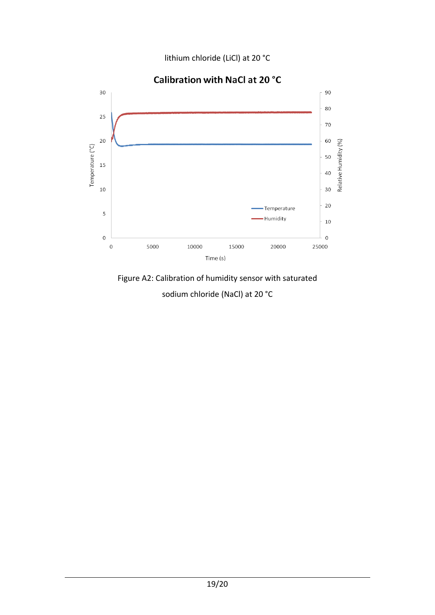lithium chloride (LiCl) at 20 °C



Calibration with NaCl at 20 °C

Figure A2: Calibration of humidity sensor with saturated sodium chloride (NaCl) at 20 °C